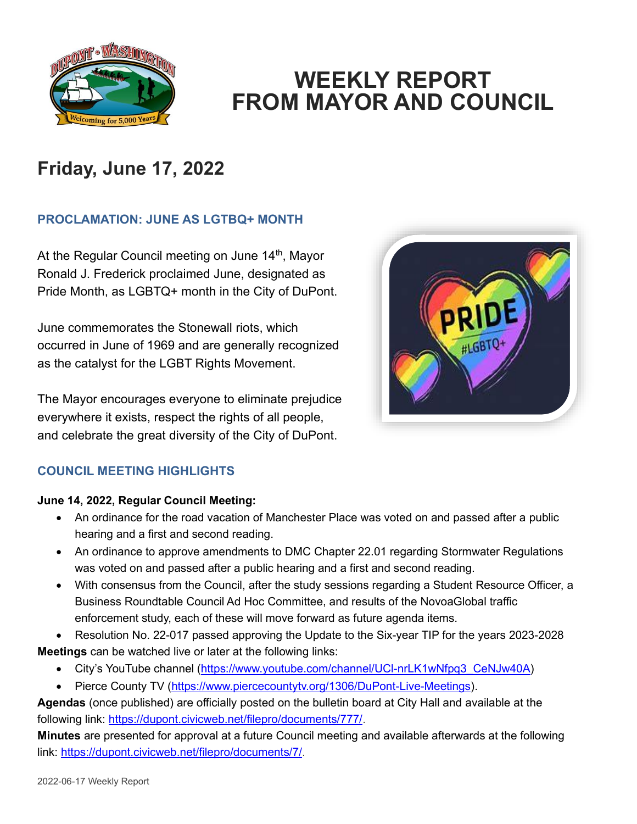

## **WEEKLY REPORT FROM MAYOR AND COUNCIL**

## **Friday, June 17, 2022**

### **PROCLAMATION: JUNE AS LGTBQ+ MONTH**

At the Regular Council meeting on June 14<sup>th</sup>, Mayor Ronald J. Frederick proclaimed June, designated as Pride Month, as LGBTQ+ month in the City of DuPont.

June commemorates the Stonewall riots, which occurred in June of 1969 and are generally recognized as the catalyst for the LGBT Rights Movement.

The Mayor encourages everyone to eliminate prejudice everywhere it exists, respect the rights of all people, and celebrate the great diversity of the City of DuPont.



### **COUNCIL MEETING HIGHLIGHTS**

#### **June 14, 2022, Regular Council Meeting:**

- An ordinance for the road vacation of Manchester Place was voted on and passed after a public hearing and a first and second reading.
- An ordinance to approve amendments to DMC Chapter 22.01 regarding Stormwater Regulations was voted on and passed after a public hearing and a first and second reading.
- With consensus from the Council, after the study sessions regarding a Student Resource Officer, a Business Roundtable Council Ad Hoc Committee, and results of the NovoaGlobal traffic enforcement study, each of these will move forward as future agenda items.

• Resolution No. 22-017 passed approving the Update to the Six-year TIP for the years 2023-2028 **Meetings** can be watched live or later at the following links:

- City's YouTube channel (https://www.youtube.com/channel/UCI-nrLK1wNfpq3\_CeNJw40A)
- Pierce County TV [\(https://www.piercecountytv.org/1306/DuPont-Live-Meetings\)](https://www.piercecountytv.org/1306/DuPont-Live-Meetings).

**Agendas** (once published) are officially posted on the bulletin board at City Hall and available at the following link: [https://dupont.civicweb.net/filepro/documents/777/.](https://dupont.civicweb.net/filepro/documents/777/)

**Minutes** are presented for approval at a future Council meeting and available afterwards at the following link: [https://dupont.civicweb.net/filepro/documents/7/.](https://dupont.civicweb.net/filepro/documents/7/)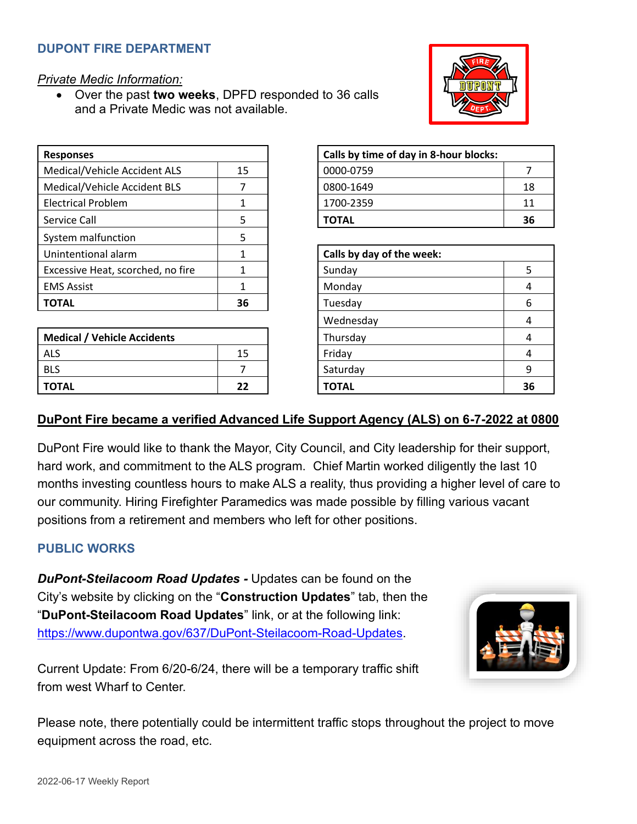#### **DUPONT FIRE DEPARTMENT**

*Private Medic Information:*

• Over the past **two weeks**, DPFD responded to 36 calls and a Private Medic was not available.

| <b>Responses</b>                  |    | Calls by time of day in 8-hour blocks: |  |
|-----------------------------------|----|----------------------------------------|--|
| Medical/Vehicle Accident ALS      | 15 | 0000-0759                              |  |
| Medical/Vehicle Accident BLS      |    | 0800-1649                              |  |
| <b>Electrical Problem</b>         |    | 1700-2359                              |  |
| Service Call                      | 5  | <b>TOTAL</b>                           |  |
| System malfunction                | 5  |                                        |  |
| Unintentional alarm               |    | Calls by day of the week:              |  |
| Excessive Heat, scorched, no fire |    | Sunday                                 |  |
| <b>EMS Assist</b>                 | 1  | Monday                                 |  |
| <b>TOTAL</b>                      | 36 | Tuesday                                |  |
|                                   |    |                                        |  |

| <b>Medical / Vehicle Accidents</b> |    | Thursday     | 4  |
|------------------------------------|----|--------------|----|
| <b>ALS</b>                         | 15 | Friday       | 4  |
| <b>BLS</b>                         |    | Saturday     | q  |
| <b>TOTAL</b>                       | 22 | <b>TOTAL</b> | 36 |

| Calls by time of day in 8-hour blocks: |     |  |
|----------------------------------------|-----|--|
| 0000-0759                              |     |  |
| 0800-1649                              | 18  |  |
| 1700-2359                              | 11  |  |
| <b>TOTAL</b>                           | -36 |  |

| Calls by day of the week: |    |  |
|---------------------------|----|--|
| Sunday                    | 5  |  |
| Monday                    |    |  |
| Tuesday                   | 6  |  |
| Wednesday                 |    |  |
| Thursday                  |    |  |
| Friday                    |    |  |
| Saturday                  | q  |  |
| <b>TOTAL</b>              | 36 |  |

#### **DuPont Fire became a verified Advanced Life Support Agency (ALS) on 6-7-2022 at 0800**

DuPont Fire would like to thank the Mayor, City Council, and City leadership for their support, hard work, and commitment to the ALS program. Chief Martin worked diligently the last 10 months investing countless hours to make ALS a reality, thus providing a higher level of care to our community. Hiring Firefighter Paramedics was made possible by filling various vacant positions from a retirement and members who left for other positions.

#### **PUBLIC WORKS**

*DuPont-Steilacoom Road Updates -* Updates can be found on the City's website by clicking on the "**Construction Updates**" tab, then the "**DuPont-Steilacoom Road Updates**" link, or at the following link: [https://www.dupontwa.gov/637/DuPont-Steilacoom-Road-Updates.](https://www.dupontwa.gov/637/DuPont-Steilacoom-Road-Updates)

Current Update: From 6/20-6/24, there will be a temporary traffic shift from west Wharf to Center.

Please note, there potentially could be intermittent traffic stops throughout the project to move equipment across the road, etc.



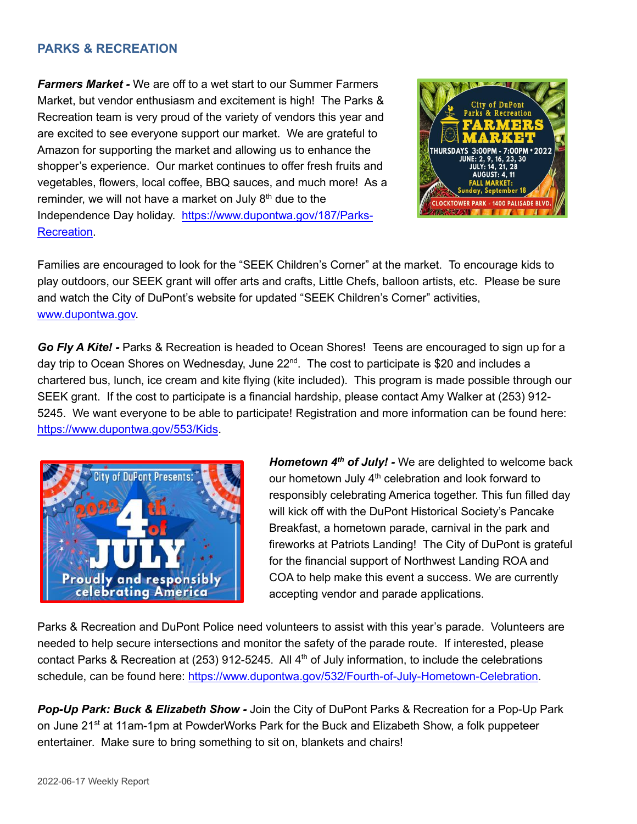#### **PARKS & RECREATION**

*Farmers Market -* We are off to a wet start to our Summer Farmers Market, but vendor enthusiasm and excitement is high! The Parks & Recreation team is very proud of the variety of vendors this year and are excited to see everyone support our market. We are grateful to Amazon for supporting the market and allowing us to enhance the shopper's experience. Our market continues to offer fresh fruits and vegetables, flowers, local coffee, BBQ sauces, and much more! As a reminder, we will not have a market on July  $8<sup>th</sup>$  due to the Independence Day holiday. [https://www.dupontwa.gov/187/Parks-](https://www.dupontwa.gov/187/Parks-Recreation)[Recreation.](https://www.dupontwa.gov/187/Parks-Recreation)



Families are encouraged to look for the "SEEK Children's Corner" at the market. To encourage kids to play outdoors, our SEEK grant will offer arts and crafts, Little Chefs, balloon artists, etc. Please be sure and watch the City of DuPont's website for updated "SEEK Children's Corner" activities, [www.dupontwa.gov.](http://www.dupontwa.gov/)

*Go Fly A Kite! -* Parks & Recreation is headed to Ocean Shores! Teens are encouraged to sign up for a day trip to Ocean Shores on Wednesday, June 22<sup>nd</sup>. The cost to participate is \$20 and includes a chartered bus, lunch, ice cream and kite flying (kite included). This program is made possible through our SEEK grant. If the cost to participate is a financial hardship, please contact Amy Walker at (253) 912- 5245. We want everyone to be able to participate! Registration and more information can be found here: [https://www.dupontwa.gov/553/Kids.](https://www.dupontwa.gov/553/Kids)



*Hometown 4th of July! -* We are delighted to welcome back our hometown July  $4<sup>th</sup>$  celebration and look forward to responsibly celebrating America together. This fun filled day will kick off with the DuPont Historical Society's Pancake Breakfast, a hometown parade, carnival in the park and fireworks at Patriots Landing! The City of DuPont is grateful for the financial support of Northwest Landing ROA and COA to help make this event a success. We are currently accepting vendor and parade applications.

Parks & Recreation and DuPont Police need volunteers to assist with this year's parade. Volunteers are needed to help secure intersections and monitor the safety of the parade route. If interested, please contact Parks & Recreation at (253) 912-5245. All 4<sup>th</sup> of July information, to include the celebrations schedule, can be found here: [https://www.dupontwa.gov/532/Fourth-of-July-Hometown-Celebration.](https://www.dupontwa.gov/532/Fourth-of-July-Hometown-Celebration)

*Pop-Up Park: Buck & Elizabeth Show -* Join the City of DuPont Parks & Recreation for a Pop-Up Park on June 21<sup>st</sup> at 11am-1pm at PowderWorks Park for the Buck and Elizabeth Show, a folk puppeteer entertainer. Make sure to bring something to sit on, blankets and chairs!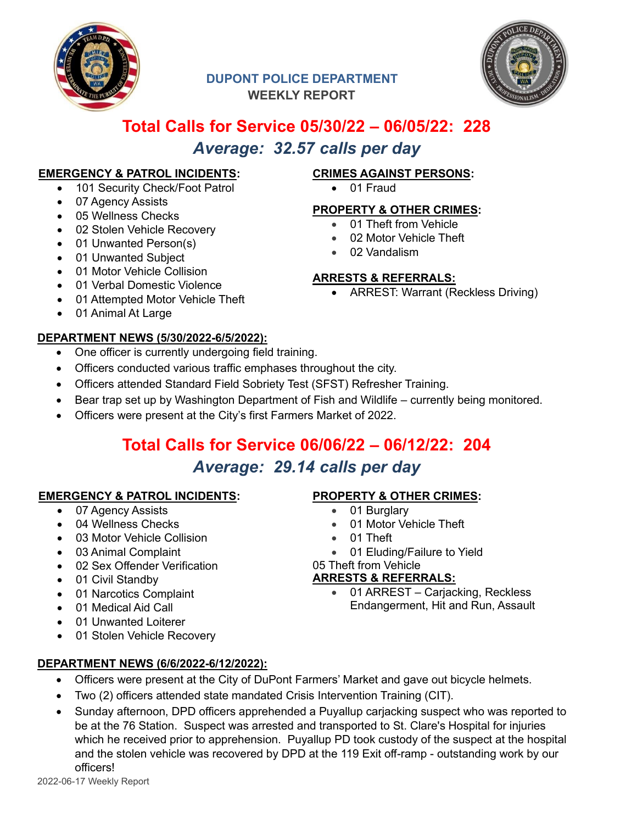

### **DUPONT POLICE DEPARTMENT WEEKLY REPORT**



### **Total Calls for Service 05/30/22 – 06/05/22: 228** *Average: 32.57 calls per day*

#### **EMERGENCY & PATROL INCIDENTS:**

- 101 Security Check/Foot Patrol
- 07 Agency Assists
- 05 Wellness Checks
- 02 Stolen Vehicle Recovery
- 01 Unwanted Person(s)
- 01 Unwanted Subject
- 01 Motor Vehicle Collision
- 01 Verbal Domestic Violence
- 01 Attempted Motor Vehicle Theft
- 01 Animal At Large

#### **DEPARTMENT NEWS (5/30/2022-6/5/2022):**

- One officer is currently undergoing field training.
- Officers conducted various traffic emphases throughout the city.
- Officers attended Standard Field Sobriety Test (SFST) Refresher Training.
- Bear trap set up by Washington Department of Fish and Wildlife currently being monitored.
- Officers were present at the City's first Farmers Market of 2022.

# **Total Calls for Service 06/06/22 – 06/12/22: 204**

## *Average: 29.14 calls per day*

#### **EMERGENCY & PATROL INCIDENTS:**

- 07 Agency Assists
- 04 Wellness Checks
- 03 Motor Vehicle Collision
- 03 Animal Complaint
- 02 Sex Offender Verification
- 01 Civil Standby
- 01 Narcotics Complaint
- 01 Medical Aid Call
- 01 Unwanted Loiterer
- 01 Stolen Vehicle Recovery

### **PROPERTY & OTHER CRIMES:**

**CRIMES AGAINST PERSONS:**

**PROPERTY & OTHER CRIMES:** • 01 Theft from Vehicle • 02 Motor Vehicle Theft

• 01 Fraud

• 02 Vandalism

**ARRESTS & REFERRALS:**

• ARREST: Warrant (Reckless Driving)

- 
- 
- 01 Eluding/Failure to Yield

#### 05 Theft from Vehicle

#### **ARRESTS & REFERRALS:**

- 01 ARREST Carjacking, Reckless Endangerment, Hit and Run, Assault
- **DEPARTMENT NEWS (6/6/2022-6/12/2022):**
	- Officers were present at the City of DuPont Farmers' Market and gave out bicycle helmets.
	- Two (2) officers attended state mandated Crisis Intervention Training (CIT).
	- Sunday afternoon, DPD officers apprehended a Puyallup carjacking suspect who was reported to be at the 76 Station. Suspect was arrested and transported to St. Clare's Hospital for injuries which he received prior to apprehension. Puyallup PD took custody of the suspect at the hospital and the stolen vehicle was recovered by DPD at the 119 Exit off-ramp - outstanding work by our officers!
- 01 Motor Vehicle Theft
- 
- 

01 Burglary • 01 Theft